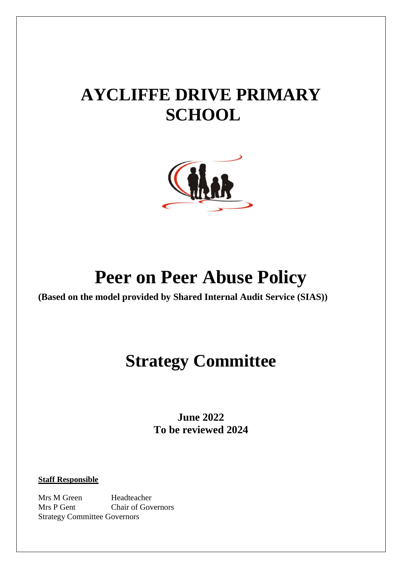# **AYCLIFFE DRIVE PRIMARY SCHOOL**



## **Peer on Peer Abuse Policy**

**(Based on the model provided by Shared Internal Audit Service (SIAS))**

## **Strategy Committee**

**June 2022 To be reviewed 2024**

**Staff Responsible**

Mrs M Green Headteacher Mrs P Gent Chair of Governors Strategy Committee Governors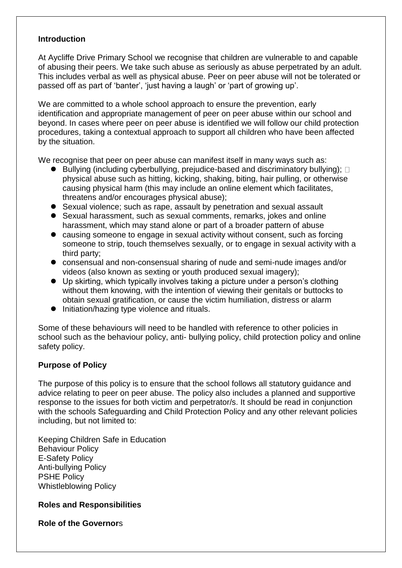#### **Introduction**

At Aycliffe Drive Primary School we recognise that children are vulnerable to and capable of abusing their peers. We take such abuse as seriously as abuse perpetrated by an adult. This includes verbal as well as physical abuse. Peer on peer abuse will not be tolerated or passed off as part of 'banter', 'just having a laugh' or 'part of growing up'.

We are committed to a whole school approach to ensure the prevention, early identification and appropriate management of peer on peer abuse within our school and beyond. In cases where peer on peer abuse is identified we will follow our child protection procedures, taking a contextual approach to support all children who have been affected by the situation.

We recognise that peer on peer abuse can manifest itself in many ways such as:

- $\bullet$  Bullying (including cyberbullying, prejudice-based and discriminatory bullying);  $\Box$ physical abuse such as hitting, kicking, shaking, biting, hair pulling, or otherwise causing physical harm (this may include an online element which facilitates, threatens and/or encourages physical abuse);
- Sexual violence; such as rape, assault by penetration and sexual assault
- Sexual harassment, such as sexual comments, remarks, jokes and online harassment, which may stand alone or part of a broader pattern of abuse
- causing someone to engage in sexual activity without consent, such as forcing someone to strip, touch themselves sexually, or to engage in sexual activity with a third party;
- consensual and non-consensual sharing of nude and semi-nude images and/or videos (also known as sexting or youth produced sexual imagery);
- Up skirting, which typically involves taking a picture under a person's clothing without them knowing, with the intention of viewing their genitals or buttocks to obtain sexual gratification, or cause the victim humiliation, distress or alarm
- Initiation/hazing type violence and rituals.

Some of these behaviours will need to be handled with reference to other policies in school such as the behaviour policy, anti- bullying policy, child protection policy and online safety policy.

#### **Purpose of Policy**

The purpose of this policy is to ensure that the school follows all statutory guidance and advice relating to peer on peer abuse. The policy also includes a planned and supportive response to the issues for both victim and perpetrator/s. It should be read in conjunction with the schools Safeguarding and Child Protection Policy and any other relevant policies including, but not limited to:

Keeping Children Safe in Education Behaviour Policy E-Safety Policy Anti-bullying Policy PSHE Policy Whistleblowing Policy

#### **Roles and Responsibilities**

**Role of the Governor**s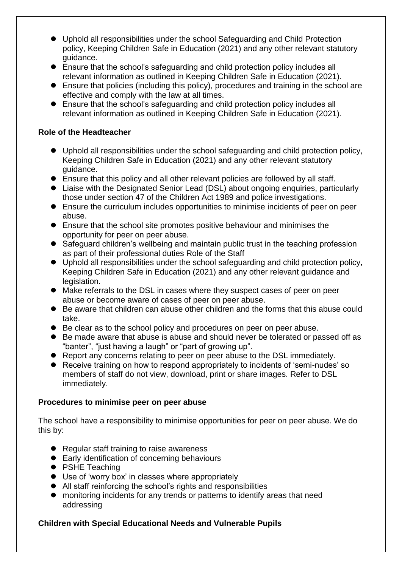- Uphold all responsibilities under the school Safeguarding and Child Protection policy, Keeping Children Safe in Education (2021) and any other relevant statutory guidance.
- Ensure that the school's safeguarding and child protection policy includes all relevant information as outlined in Keeping Children Safe in Education (2021).
- Ensure that policies (including this policy), procedures and training in the school are effective and comply with the law at all times.
- Ensure that the school's safeguarding and child protection policy includes all relevant information as outlined in Keeping Children Safe in Education (2021).

#### **Role of the Headteacher**

- Uphold all responsibilities under the school safeguarding and child protection policy, Keeping Children Safe in Education (2021) and any other relevant statutory guidance.
- Ensure that this policy and all other relevant policies are followed by all staff.
- Liaise with the Designated Senior Lead (DSL) about ongoing enquiries, particularly those under section 47 of the Children Act 1989 and police investigations.
- Ensure the curriculum includes opportunities to minimise incidents of peer on peer abuse.
- Ensure that the school site promotes positive behaviour and minimises the opportunity for peer on peer abuse.
- Safeguard children's wellbeing and maintain public trust in the teaching profession as part of their professional duties Role of the Staff
- Uphold all responsibilities under the school safeguarding and child protection policy, Keeping Children Safe in Education (2021) and any other relevant guidance and legislation.
- Make referrals to the DSL in cases where they suspect cases of peer on peer abuse or become aware of cases of peer on peer abuse.
- Be aware that children can abuse other children and the forms that this abuse could take.
- Be clear as to the school policy and procedures on peer on peer abuse.
- Be made aware that abuse is abuse and should never be tolerated or passed off as "banter", "just having a laugh" or "part of growing up".
- Report any concerns relating to peer on peer abuse to the DSL immediately.
- Receive training on how to respond appropriately to incidents of 'semi-nudes' so members of staff do not view, download, print or share images. Refer to DSL immediately.

## **Procedures to minimise peer on peer abuse**

The school have a responsibility to minimise opportunities for peer on peer abuse. We do this by:

- Regular staff training to raise awareness
- Early identification of concerning behaviours
- PSHE Teaching
- Use of 'worry box' in classes where appropriately
- All staff reinforcing the school's rights and responsibilities
- monitoring incidents for any trends or patterns to identify areas that need addressing

## **Children with Special Educational Needs and Vulnerable Pupils**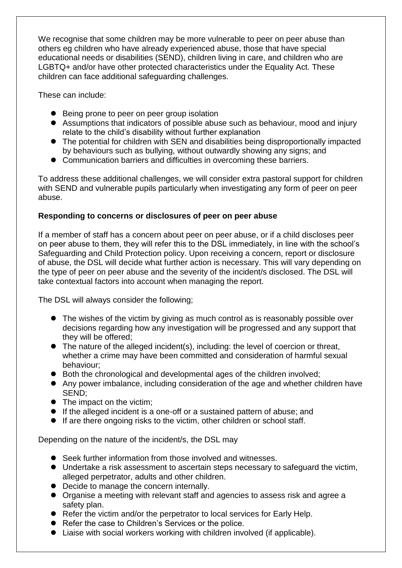We recognise that some children may be more vulnerable to peer on peer abuse than others eg children who have already experienced abuse, those that have special educational needs or disabilities (SEND), children living in care, and children who are LGBTQ+ and/or have other protected characteristics under the Equality Act. These children can face additional safeguarding challenges.

These can include:

- Being prone to peer on peer group isolation
- Assumptions that indicators of possible abuse such as behaviour, mood and injury relate to the child's disability without further explanation
- The potential for children with SEN and disabilities being disproportionally impacted by behaviours such as bullying, without outwardly showing any signs; and
- Communication barriers and difficulties in overcoming these barriers.

To address these additional challenges, we will consider extra pastoral support for children with SEND and vulnerable pupils particularly when investigating any form of peer on peer abuse.

## **Responding to concerns or disclosures of peer on peer abuse**

If a member of staff has a concern about peer on peer abuse, or if a child discloses peer on peer abuse to them, they will refer this to the DSL immediately, in line with the school's Safeguarding and Child Protection policy. Upon receiving a concern, report or disclosure of abuse, the DSL will decide what further action is necessary. This will vary depending on the type of peer on peer abuse and the severity of the incident/s disclosed. The DSL will take contextual factors into account when managing the report.

The DSL will always consider the following;

- The wishes of the victim by giving as much control as is reasonably possible over decisions regarding how any investigation will be progressed and any support that they will be offered;
- The nature of the alleged incident(s), including: the level of coercion or threat, whether a crime may have been committed and consideration of harmful sexual behaviour;
- Both the chronological and developmental ages of the children involved;
- Any power imbalance, including consideration of the age and whether children have SEND;
- The impact on the victim;
- If the alleged incident is a one-off or a sustained pattern of abuse; and
- If are there ongoing risks to the victim, other children or school staff.

Depending on the nature of the incident/s, the DSL may

- Seek further information from those involved and witnesses.
- Undertake a risk assessment to ascertain steps necessary to safeguard the victim, alleged perpetrator, adults and other children.
- Decide to manage the concern internally.
- Organise a meeting with relevant staff and agencies to assess risk and agree a safety plan.
- Refer the victim and/or the perpetrator to local services for Early Help.
- Refer the case to Children's Services or the police.
- Liaise with social workers working with children involved (if applicable).